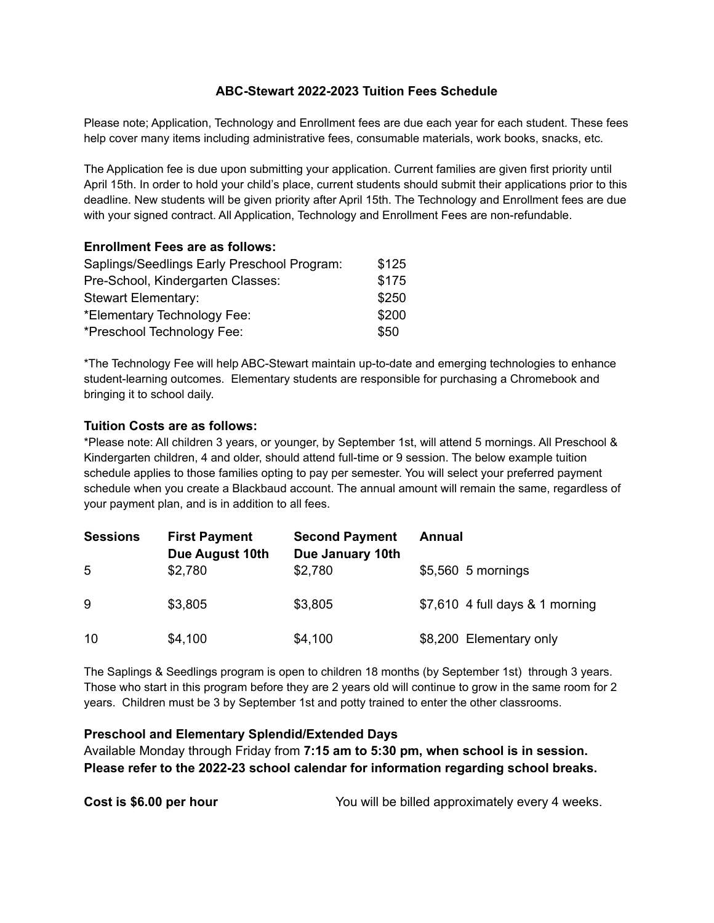## **ABC-Stewart 2022-2023 Tuition Fees Schedule**

Please note; Application, Technology and Enrollment fees are due each year for each student. These fees help cover many items including administrative fees, consumable materials, work books, snacks, etc.

The Application fee is due upon submitting your application. Current families are given first priority until April 15th. In order to hold your child's place, current students should submit their applications prior to this deadline. New students will be given priority after April 15th. The Technology and Enrollment fees are due with your signed contract. All Application, Technology and Enrollment Fees are non-refundable.

| <b>Enrollment Fees are as follows:</b>      |       |
|---------------------------------------------|-------|
| Saplings/Seedlings Early Preschool Program: | \$125 |
| Pre-School, Kindergarten Classes:           | \$175 |
| <b>Stewart Elementary:</b>                  | \$250 |
| *Elementary Technology Fee:                 | \$200 |
| *Preschool Technology Fee:                  | \$50  |

\*The Technology Fee will help ABC-Stewart maintain up-to-date and emerging technologies to enhance student-learning outcomes. Elementary students are responsible for purchasing a Chromebook and bringing it to school daily.

## **Tuition Costs are as follows:**

\*Please note: All children 3 years, or younger, by September 1st, will attend 5 mornings. All Preschool & Kindergarten children, 4 and older, should attend full-time or 9 session. The below example tuition schedule applies to those families opting to pay per semester. You will select your preferred payment schedule when you create a Blackbaud account. The annual amount will remain the same, regardless of your payment plan, and is in addition to all fees.

| <b>Sessions</b> | <b>First Payment</b><br>Due August 10th | <b>Second Payment</b><br>Due January 10th | Annual                          |
|-----------------|-----------------------------------------|-------------------------------------------|---------------------------------|
| 5               | \$2,780                                 | \$2,780                                   | \$5,560 5 mornings              |
| 9               | \$3,805                                 | \$3,805                                   | \$7,610 4 full days & 1 morning |
| 10              | \$4,100                                 | \$4,100                                   | \$8,200 Elementary only         |

The Saplings & Seedlings program is open to children 18 months (by September 1st) through 3 years. Those who start in this program before they are 2 years old will continue to grow in the same room for 2 years. Children must be 3 by September 1st and potty trained to enter the other classrooms.

## **Preschool and Elementary Splendid/Extended Days**

Available Monday through Friday from **7:15 am to 5:30 pm, when school is in session. Please refer to the 2022-23 school calendar for information regarding school breaks.**

**Cost is \$6.00 per hour** You will be billed approximately every 4 weeks.